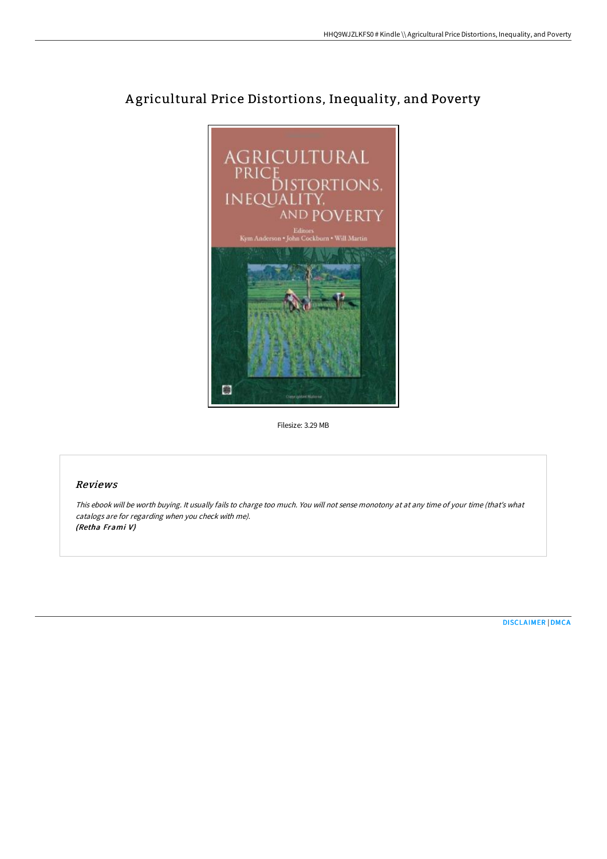

# A gricultural Price Distortions, Inequality, and Poverty

Filesize: 3.29 MB

## Reviews

This ebook will be worth buying. It usually fails to charge too much. You will not sense monotony at at any time of your time (that's what catalogs are for regarding when you check with me). (Retha Frami V)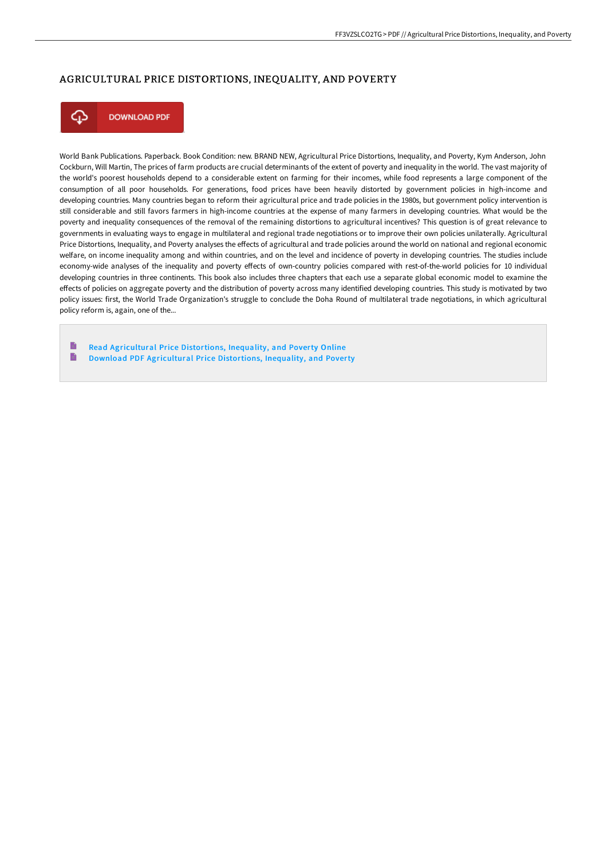#### AGRICULTURAL PRICE DISTORTIONS, INEQUALITY, AND POVERTY



**DOWNLOAD PDF** 

World Bank Publications. Paperback. Book Condition: new. BRAND NEW, Agricultural Price Distortions, Inequality, and Poverty, Kym Anderson, John Cockburn, Will Martin, The prices of farm products are crucial determinants of the extent of poverty and inequality in the world. The vast majority of the world's poorest households depend to a considerable extent on farming for their incomes, while food represents a large component of the consumption of all poor households. For generations, food prices have been heavily distorted by government policies in high-income and developing countries. Many countries began to reform their agricultural price and trade policies in the 1980s, but government policy intervention is still considerable and still favors farmers in high-income countries at the expense of many farmers in developing countries. What would be the poverty and inequality consequences of the removal of the remaining distortions to agricultural incentives? This question is of great relevance to governments in evaluating ways to engage in multilateral and regional trade negotiations or to improve their own policies unilaterally. Agricultural Price Distortions, Inequality, and Poverty analyses the effects of agricultural and trade policies around the world on national and regional economic welfare, on income inequality among and within countries, and on the level and incidence of poverty in developing countries. The studies include economy-wide analyses of the inequality and poverty effects of own-country policies compared with rest-of-the-world policies for 10 individual developing countries in three continents. This book also includes three chapters that each use a separate global economic model to examine the effects of policies on aggregate poverty and the distribution of poverty across many identified developing countries. This study is motivated by two policy issues: first, the World Trade Organization's struggle to conclude the Doha Round of multilateral trade negotiations, in which agricultural policy reform is, again, one of the...

E Read [Agricultural](http://www.bookdirs.com/agricultural-price-distortions-inequality-and-po.html) Price Distortions, Inequality, and Poverty Online B Download PDF [Agricultural](http://www.bookdirs.com/agricultural-price-distortions-inequality-and-po.html) Price Distortions, Inequality, and Poverty